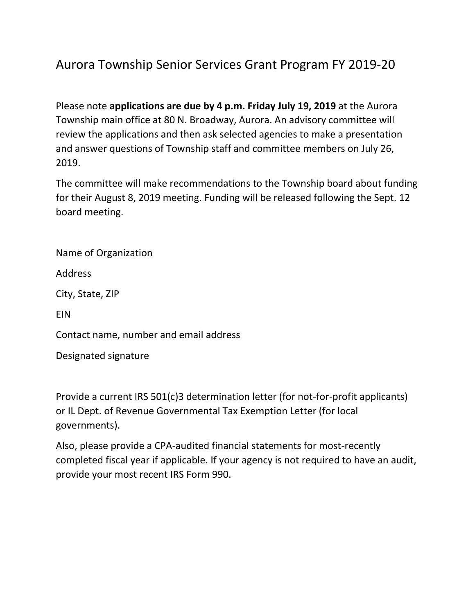## Aurora Township Senior Services Grant Program FY 2019-20

Please note **applications are due by 4 p.m. Friday July 19, 2019** at the Aurora Township main office at 80 N. Broadway, Aurora. An advisory committee will review the applications and then ask selected agencies to make a presentation and answer questions of Township staff and committee members on July 26, 2019.

The committee will make recommendations to the Township board about funding for their August 8, 2019 meeting. Funding will be released following the Sept. 12 board meeting.

Name of Organization

Address

City, State, ZIP

EIN

Contact name, number and email address

Designated signature

Provide a current IRS 501(c)3 determination letter (for not-for-profit applicants) or IL Dept. of Revenue Governmental Tax Exemption Letter (for local governments).

Also, please provide a CPA-audited financial statements for most-recently completed fiscal year if applicable. If your agency is not required to have an audit, provide your most recent IRS Form 990.